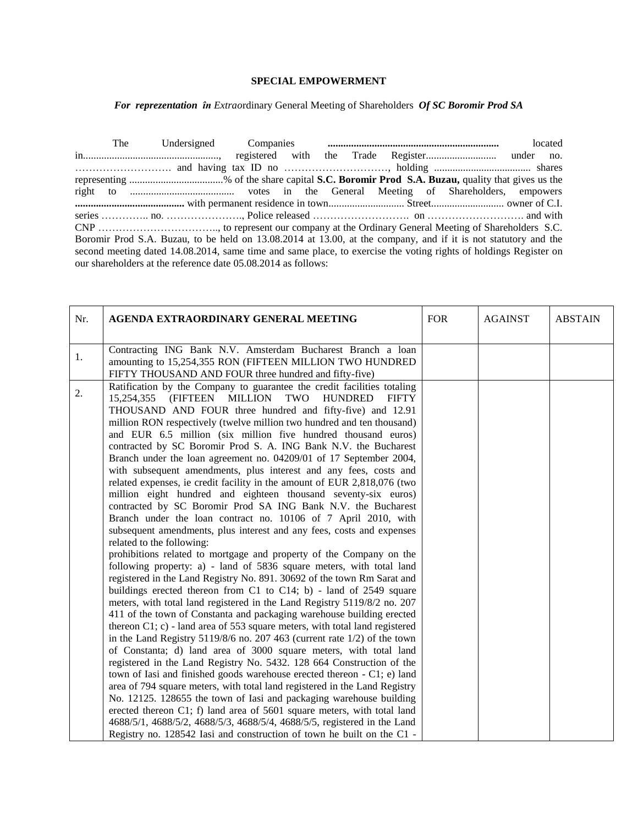## **SPECIAL EMPOWERMENT**

## For reprezentation în Extraordinary General Meeting of Shareholders Of SC Boromir Prod SA

The Undersigned Companies located registered with under no. representing ..................................% of the share capital S.C. Boromir Prod S.A. Buzau, quality that gives us the Boromir Prod S.A. Buzau, to be held on 13.08.2014 at 13.00, at the company, and if it is not statutory and the second meeting dated 14.08.2014, same time and same place, to exercise the voting rights of holdings Register on our shareholders at the reference date 05.08.2014 as follows:

| Nr. | AGENDA EXTRAORDINARY GENERAL MEETING                                                                                                                                                                                                                                                                                                                                                                                                                                                                                                                                                                                                                                                                                                                                                                                                                                                                                                                                                                                                                                                                                                                                                                                                                                                                                                                                                                                                                                                                                                                                                                                                                                                                                                                                                                                                                                                                                                                                                                                                                                                                                                                                                               | <b>FOR</b> | <b>AGAINST</b> | <b>ABSTAIN</b> |
|-----|----------------------------------------------------------------------------------------------------------------------------------------------------------------------------------------------------------------------------------------------------------------------------------------------------------------------------------------------------------------------------------------------------------------------------------------------------------------------------------------------------------------------------------------------------------------------------------------------------------------------------------------------------------------------------------------------------------------------------------------------------------------------------------------------------------------------------------------------------------------------------------------------------------------------------------------------------------------------------------------------------------------------------------------------------------------------------------------------------------------------------------------------------------------------------------------------------------------------------------------------------------------------------------------------------------------------------------------------------------------------------------------------------------------------------------------------------------------------------------------------------------------------------------------------------------------------------------------------------------------------------------------------------------------------------------------------------------------------------------------------------------------------------------------------------------------------------------------------------------------------------------------------------------------------------------------------------------------------------------------------------------------------------------------------------------------------------------------------------------------------------------------------------------------------------------------------------|------------|----------------|----------------|
| 1.  | Contracting ING Bank N.V. Amsterdam Bucharest Branch a loan<br>amounting to 15,254,355 RON (FIFTEEN MILLION TWO HUNDRED<br>FIFTY THOUSAND AND FOUR three hundred and fifty-five)                                                                                                                                                                                                                                                                                                                                                                                                                                                                                                                                                                                                                                                                                                                                                                                                                                                                                                                                                                                                                                                                                                                                                                                                                                                                                                                                                                                                                                                                                                                                                                                                                                                                                                                                                                                                                                                                                                                                                                                                                   |            |                |                |
| 2.  | Ratification by the Company to guarantee the credit facilities totaling<br>(FIFTEEN MILLION<br>TWO<br>15,254,355<br><b>HUNDRED</b><br><b>FIFTY</b><br>THOUSAND AND FOUR three hundred and fifty-five) and 12.91<br>million RON respectively (twelve million two hundred and ten thousand)<br>and EUR 6.5 million (six million five hundred thousand euros)<br>contracted by SC Boromir Prod S. A. ING Bank N.V. the Bucharest<br>Branch under the loan agreement no. 04209/01 of 17 September 2004,<br>with subsequent amendments, plus interest and any fees, costs and<br>related expenses, ie credit facility in the amount of EUR 2,818,076 (two<br>million eight hundred and eighteen thousand seventy-six euros)<br>contracted by SC Boromir Prod SA ING Bank N.V. the Bucharest<br>Branch under the loan contract no. 10106 of 7 April 2010, with<br>subsequent amendments, plus interest and any fees, costs and expenses<br>related to the following:<br>prohibitions related to mortgage and property of the Company on the<br>following property: a) - land of 5836 square meters, with total land<br>registered in the Land Registry No. 891. 30692 of the town Rm Sarat and<br>buildings erected thereon from C1 to C14; b) - land of 2549 square<br>meters, with total land registered in the Land Registry 5119/8/2 no. 207<br>411 of the town of Constanta and packaging warehouse building erected<br>thereon C1; c) - land area of 553 square meters, with total land registered<br>in the Land Registry $5119/8/6$ no. 207 463 (current rate $1/2$ ) of the town<br>of Constanta; d) land area of 3000 square meters, with total land<br>registered in the Land Registry No. 5432. 128 664 Construction of the<br>town of Iasi and finished goods warehouse erected thereon - C1; e) land<br>area of 794 square meters, with total land registered in the Land Registry<br>No. 12125. 128655 the town of Iasi and packaging warehouse building<br>erected thereon C1; f) land area of 5601 square meters, with total land<br>4688/5/1, 4688/5/2, 4688/5/3, 4688/5/4, 4688/5/5, registered in the Land<br>Registry no. 128542 Iasi and construction of town he built on the C1 - |            |                |                |